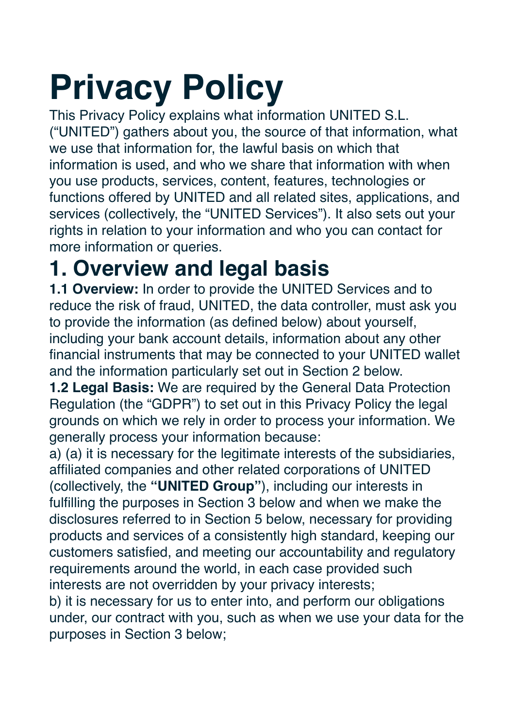# **Privacy Policy**

This Privacy Policy explains what information UNITED S.L. ("UNITED") gathers about you, the source of that information, what we use that information for, the lawful basis on which that information is used, and who we share that information with when you use products, services, content, features, technologies or functions offered by UNITED and all related sites, applications, and services (collectively, the "UNITED Services"). It also sets out your rights in relation to your information and who you can contact for more information or queries.

# **1. Overview and legal basis**

**1.1 Overview:** In order to provide the UNITED Services and to reduce the risk of fraud, UNITED, the data controller, must ask you to provide the information (as defined below) about yourself, including your bank account details, information about any other financial instruments that may be connected to your UNITED wallet and the information particularly set out in Section 2 below.

**1.2 Legal Basis:** We are required by the General Data Protection Regulation (the "GDPR") to set out in this Privacy Policy the legal grounds on which we rely in order to process your information. We generally process your information because:

a) (a) it is necessary for the legitimate interests of the subsidiaries, affiliated companies and other related corporations of UNITED (collectively, the **"UNITED Group"**), including our interests in fulfilling the purposes in Section 3 below and when we make the disclosures referred to in Section 5 below, necessary for providing products and services of a consistently high standard, keeping our customers satisfied, and meeting our accountability and regulatory requirements around the world, in each case provided such interests are not overridden by your privacy interests;

b) it is necessary for us to enter into, and perform our obligations under, our contract with you, such as when we use your data for the purposes in Section 3 below;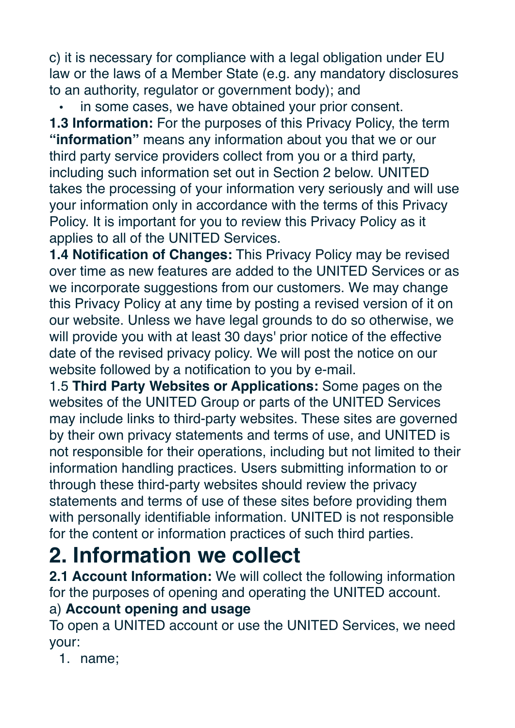c) it is necessary for compliance with a legal obligation under EU law or the laws of a Member State (e.g. any mandatory disclosures to an authority, regulator or government body); and

in some cases, we have obtained your prior consent.

**1.3 Information:** For the purposes of this Privacy Policy, the term **"information"** means any information about you that we or our third party service providers collect from you or a third party, including such information set out in Section 2 below. UNITED takes the processing of your information very seriously and will use your information only in accordance with the terms of this Privacy Policy. It is important for you to review this Privacy Policy as it applies to all of the UNITED Services.

**1.4 Notification of Changes:** This Privacy Policy may be revised over time as new features are added to the UNITED Services or as we incorporate suggestions from our customers. We may change this Privacy Policy at any time by posting a revised version of it on our website. Unless we have legal grounds to do so otherwise, we will provide you with at least 30 days' prior notice of the effective date of the revised privacy policy. We will post the notice on our website followed by a notification to you by e-mail.

1.5 **Third Party Websites or Applications:** Some pages on the websites of the UNITED Group or parts of the UNITED Services may include links to third-party websites. These sites are governed by their own privacy statements and terms of use, and UNITED is not responsible for their operations, including but not limited to their information handling practices. Users submitting information to or through these third-party websites should review the privacy statements and terms of use of these sites before providing them with personally identifiable information. UNITED is not responsible for the content or information practices of such third parties.

### **2. Information we collect**

**2.1 Account Information:** We will collect the following information for the purposes of opening and operating the UNITED account. a) **Account opening and usage**

## To open a UNITED account or use the UNITED Services, we need

your: 1. name;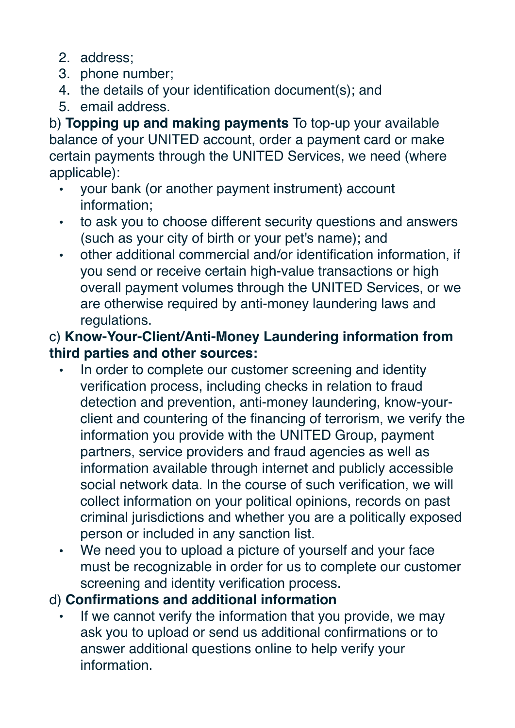- 2. address;
- 3. phone number;
- 4. the details of your identification document(s); and
- 5. email address.

b) **Topping up and making payments** To top-up your available balance of your UNITED account, order a payment card or make certain payments through the UNITED Services, we need (where applicable):

- your bank (or another payment instrument) account information;
- to ask you to choose different security questions and answers (such as your city of birth or your pet's name); and
- other additional commercial and/or identification information, if you send or receive certain high-value transactions or high overall payment volumes through the UNITED Services, or we are otherwise required by anti-money laundering laws and regulations.

### c) **Know-Your-Client/Anti-Money Laundering information from third parties and other sources:**

- In order to complete our customer screening and identity verification process, including checks in relation to fraud detection and prevention, anti-money laundering, know-yourclient and countering of the financing of terrorism, we verify the information you provide with the UNITED Group, payment partners, service providers and fraud agencies as well as information available through internet and publicly accessible social network data. In the course of such verification, we will collect information on your political opinions, records on past criminal jurisdictions and whether you are a politically exposed person or included in any sanction list.
- We need you to upload a picture of yourself and your face must be recognizable in order for us to complete our customer screening and identity verification process.
- d) **Confirmations and additional information**
	- If we cannot verify the information that you provide, we may ask you to upload or send us additional confirmations or to answer additional questions online to help verify your information.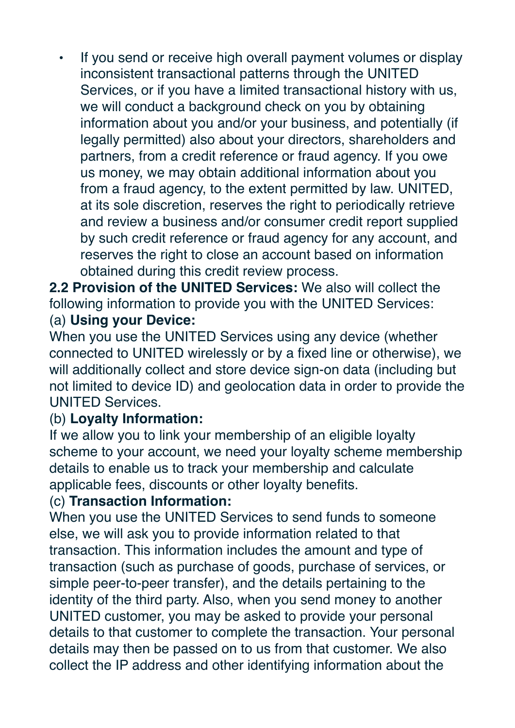If you send or receive high overall payment volumes or display inconsistent transactional patterns through the UNITED Services, or if you have a limited transactional history with us, we will conduct a background check on you by obtaining information about you and/or your business, and potentially (if legally permitted) also about your directors, shareholders and partners, from a credit reference or fraud agency. If you owe us money, we may obtain additional information about you from a fraud agency, to the extent permitted by law. UNITED, at its sole discretion, reserves the right to periodically retrieve and review a business and/or consumer credit report supplied by such credit reference or fraud agency for any account, and reserves the right to close an account based on information obtained during this credit review process.

**2.2 Provision of the UNITED Services:** We also will collect the following information to provide you with the UNITED Services:

### (a) **Using your Device:**

When you use the UNITED Services using any device (whether connected to UNITED wirelessly or by a fixed line or otherwise), we will additionally collect and store device sign-on data (including but not limited to device ID) and geolocation data in order to provide the UNITED Services.

### (b) **Loyalty Information:**

If we allow you to link your membership of an eligible loyalty scheme to your account, we need your loyalty scheme membership details to enable us to track your membership and calculate applicable fees, discounts or other loyalty benefits.

#### (c) **Transaction Information:**

When you use the UNITED Services to send funds to someone else, we will ask you to provide information related to that transaction. This information includes the amount and type of transaction (such as purchase of goods, purchase of services, or simple peer-to-peer transfer), and the details pertaining to the identity of the third party. Also, when you send money to another UNITED customer, you may be asked to provide your personal details to that customer to complete the transaction. Your personal details may then be passed on to us from that customer. We also collect the IP address and other identifying information about the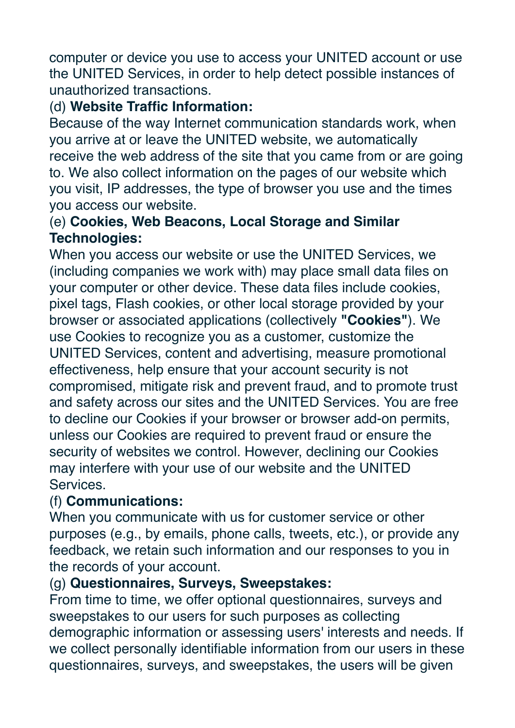computer or device you use to access your UNITED account or use the UNITED Services, in order to help detect possible instances of unauthorized transactions.

### (d) **Website Traffic Information:**

Because of the way Internet communication standards work, when you arrive at or leave the UNITED website, we automatically receive the web address of the site that you came from or are going to. We also collect information on the pages of our website which you visit, IP addresses, the type of browser you use and the times you access our website.

### (e) **Cookies, Web Beacons, Local Storage and Similar Technologies:**

When you access our website or use the UNITED Services, we (including companies we work with) may place small data files on your computer or other device. These data files include cookies, pixel tags, Flash cookies, or other local storage provided by your browser or associated applications (collectively **"Cookies"**). We use Cookies to recognize you as a customer, customize the UNITED Services, content and advertising, measure promotional effectiveness, help ensure that your account security is not compromised, mitigate risk and prevent fraud, and to promote trust and safety across our sites and the UNITED Services. You are free to decline our Cookies if your browser or browser add-on permits, unless our Cookies are required to prevent fraud or ensure the security of websites we control. However, declining our Cookies may interfere with your use of our website and the UNITED Services.

#### (f) **Communications:**

When you communicate with us for customer service or other purposes (e.g., by emails, phone calls, tweets, etc.), or provide any feedback, we retain such information and our responses to you in the records of your account.

### (g) **Questionnaires, Surveys, Sweepstakes:**

From time to time, we offer optional questionnaires, surveys and sweepstakes to our users for such purposes as collecting demographic information or assessing users' interests and needs. If we collect personally identifiable information from our users in these questionnaires, surveys, and sweepstakes, the users will be given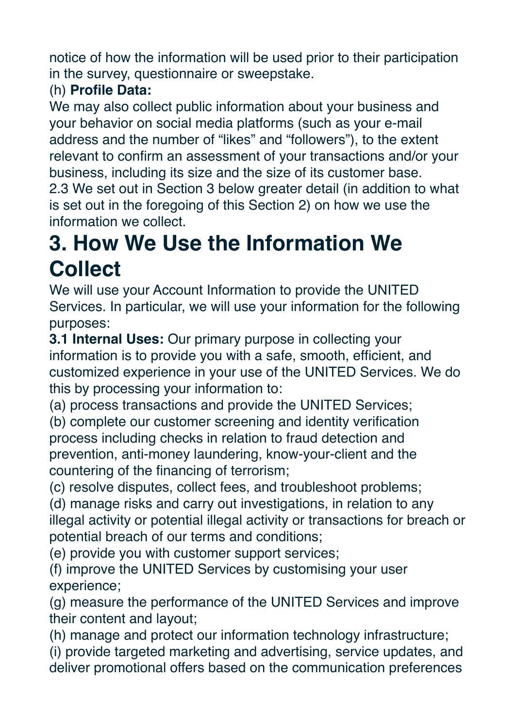notice of how the information will be used prior to their participation in the survey, questionnaire or sweepstake.

### (h) **Profile Data:**

We may also collect public information about your business and your behavior on social media platforms (such as your e-mail address and the number of "likes" and "followers"), to the extent relevant to confirm an assessment of your transactions and/or your business, including its size and the size of its customer base. 2.3 We set out in Section 3 below greater detail (in addition to what is set out in the foregoing of this Section 2) on how we use the information we collect.

# **3. How We Use the Information We Collect**

We will use your Account Information to provide the UNITED Services. In particular, we will use your information for the following purposes:

**3.1 Internal Uses:** Our primary purpose in collecting your information is to provide you with a safe, smooth, efficient, and customized experience in your use of the UNITED Services. We do this by processing your information to:

(a) process transactions and provide the UNITED Services;

(b) complete our customer screening and identity verification process including checks in relation to fraud detection and prevention, anti-money laundering, know-your-client and the countering of the financing of terrorism;

(c) resolve disputes, collect fees, and troubleshoot problems;

(d) manage risks and carry out investigations, in relation to any illegal activity or potential illegal activity or transactions for breach or potential breach of our terms and conditions;

(e) provide you with customer support services;

(f) improve the UNITED Services by customising your user experience;

(g) measure the performance of the UNITED Services and improve their content and layout;

(h) manage and protect our information technology infrastructure;

(i) provide targeted marketing and advertising, service updates, and deliver promotional offers based on the communication preferences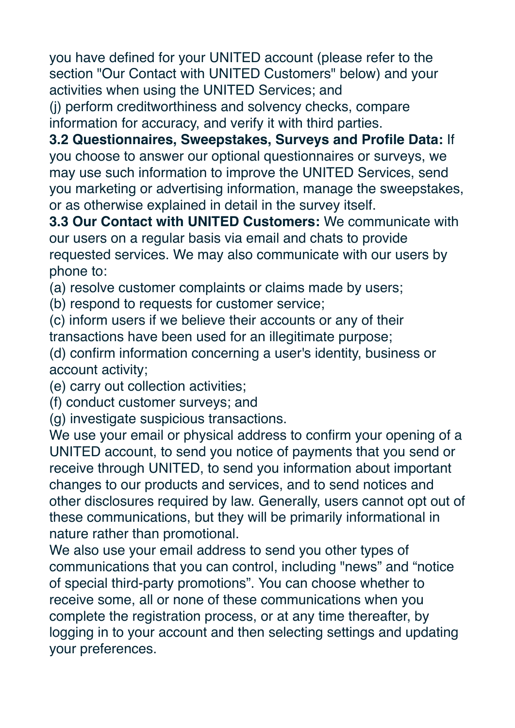you have defined for your UNITED account (please refer to the section "Our Contact with UNITED Customers" below) and your activities when using the UNITED Services; and

(j) perform creditworthiness and solvency checks, compare information for accuracy, and verify it with third parties.

**3.2 Questionnaires, Sweepstakes, Surveys and Profile Data:** If you choose to answer our optional questionnaires or surveys, we may use such information to improve the UNITED Services, send you marketing or advertising information, manage the sweepstakes, or as otherwise explained in detail in the survey itself.

**3.3 Our Contact with UNITED Customers:** We communicate with our users on a regular basis via email and chats to provide requested services. We may also communicate with our users by phone to:

(a) resolve customer complaints or claims made by users;

(b) respond to requests for customer service;

(c) inform users if we believe their accounts or any of their transactions have been used for an illegitimate purpose;

(d) confirm information concerning a user's identity, business or account activity;

(e) carry out collection activities;

(f) conduct customer surveys; and

(g) investigate suspicious transactions.

We use your email or physical address to confirm your opening of a UNITED account, to send you notice of payments that you send or receive through UNITED, to send you information about important changes to our products and services, and to send notices and other disclosures required by law. Generally, users cannot opt out of these communications, but they will be primarily informational in nature rather than promotional.

We also use your email address to send you other types of communications that you can control, including "news" and "notice of special third-party promotions". You can choose whether to receive some, all or none of these communications when you complete the registration process, or at any time thereafter, by logging in to your account and then selecting settings and updating your preferences.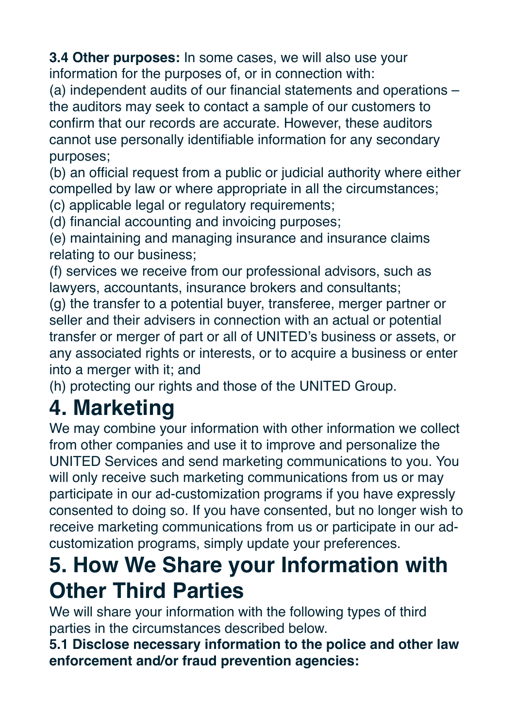**3.4 Other purposes:** In some cases, we will also use your information for the purposes of, or in connection with:

(a) independent audits of our financial statements and operations – the auditors may seek to contact a sample of our customers to confirm that our records are accurate. However, these auditors cannot use personally identifiable information for any secondary purposes;

(b) an official request from a public or judicial authority where either compelled by law or where appropriate in all the circumstances;

(c) applicable legal or regulatory requirements;

(d) financial accounting and invoicing purposes;

(e) maintaining and managing insurance and insurance claims relating to our business;

(f) services we receive from our professional advisors, such as lawyers, accountants, insurance brokers and consultants;

(g) the transfer to a potential buyer, transferee, merger partner or seller and their advisers in connection with an actual or potential transfer or merger of part or all of UNITED's business or assets, or any associated rights or interests, or to acquire a business or enter into a merger with it; and

(h) protecting our rights and those of the UNITED Group.

### **4. Marketing**

We may combine your information with other information we collect from other companies and use it to improve and personalize the UNITED Services and send marketing communications to you. You will only receive such marketing communications from us or may participate in our ad-customization programs if you have expressly consented to doing so. If you have consented, but no longer wish to receive marketing communications from us or participate in our adcustomization programs, simply update your preferences.

### **5. How We Share your Information with Other Third Parties**

We will share your information with the following types of third parties in the circumstances described below.

**5.1 Disclose necessary information to the police and other law enforcement and/or fraud prevention agencies:**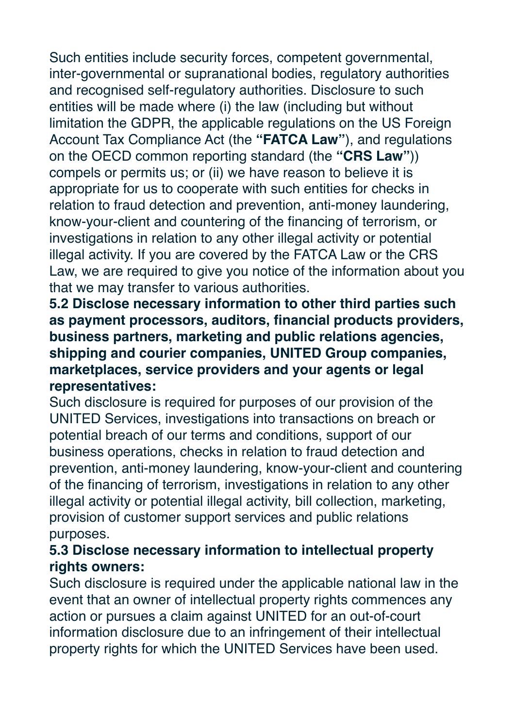Such entities include security forces, competent governmental, inter-governmental or supranational bodies, regulatory authorities and recognised self-regulatory authorities. Disclosure to such entities will be made where (i) the law (including but without limitation the GDPR, the applicable regulations on the US Foreign Account Tax Compliance Act (the **"FATCA Law"**), and regulations on the OECD common reporting standard (the **"CRS Law"**)) compels or permits us; or (ii) we have reason to believe it is appropriate for us to cooperate with such entities for checks in relation to fraud detection and prevention, anti-money laundering, know-your-client and countering of the financing of terrorism, or investigations in relation to any other illegal activity or potential illegal activity. If you are covered by the FATCA Law or the CRS Law, we are required to give you notice of the information about you that we may transfer to various authorities.

**5.2 Disclose necessary information to other third parties such as payment processors, auditors, financial products providers, business partners, marketing and public relations agencies, shipping and courier companies, UNITED Group companies, marketplaces, service providers and your agents or legal representatives:**

Such disclosure is required for purposes of our provision of the UNITED Services, investigations into transactions on breach or potential breach of our terms and conditions, support of our business operations, checks in relation to fraud detection and prevention, anti-money laundering, know-your-client and countering of the financing of terrorism, investigations in relation to any other illegal activity or potential illegal activity, bill collection, marketing, provision of customer support services and public relations purposes.

#### **5.3 Disclose necessary information to intellectual property rights owners:**

Such disclosure is required under the applicable national law in the event that an owner of intellectual property rights commences any action or pursues a claim against UNITED for an out-of-court information disclosure due to an infringement of their intellectual property rights for which the UNITED Services have been used.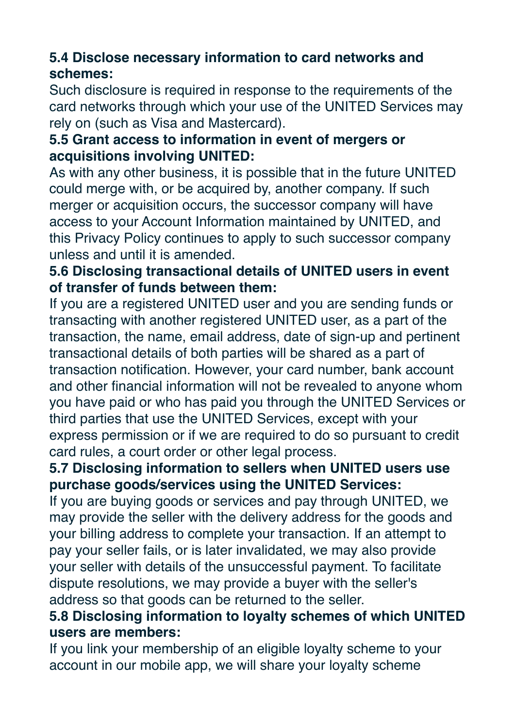### **5.4 Disclose necessary information to card networks and schemes:**

Such disclosure is required in response to the requirements of the card networks through which your use of the UNITED Services may rely on (such as Visa and Mastercard).

### **5.5 Grant access to information in event of mergers or acquisitions involving UNITED:**

As with any other business, it is possible that in the future UNITED could merge with, or be acquired by, another company. If such merger or acquisition occurs, the successor company will have access to your Account Information maintained by UNITED, and this Privacy Policy continues to apply to such successor company unless and until it is amended.

### **5.6 Disclosing transactional details of UNITED users in event of transfer of funds between them:**

If you are a registered UNITED user and you are sending funds or transacting with another registered UNITED user, as a part of the transaction, the name, email address, date of sign-up and pertinent transactional details of both parties will be shared as a part of transaction notification. However, your card number, bank account and other financial information will not be revealed to anyone whom you have paid or who has paid you through the UNITED Services or third parties that use the UNITED Services, except with your express permission or if we are required to do so pursuant to credit card rules, a court order or other legal process.

### **5.7 Disclosing information to sellers when UNITED users use purchase goods/services using the UNITED Services:**

If you are buying goods or services and pay through UNITED, we may provide the seller with the delivery address for the goods and your billing address to complete your transaction. If an attempt to pay your seller fails, or is later invalidated, we may also provide your seller with details of the unsuccessful payment. To facilitate dispute resolutions, we may provide a buyer with the seller's address so that goods can be returned to the seller.

### **5.8 Disclosing information to loyalty schemes of which UNITED users are members:**

If you link your membership of an eligible loyalty scheme to your account in our mobile app, we will share your loyalty scheme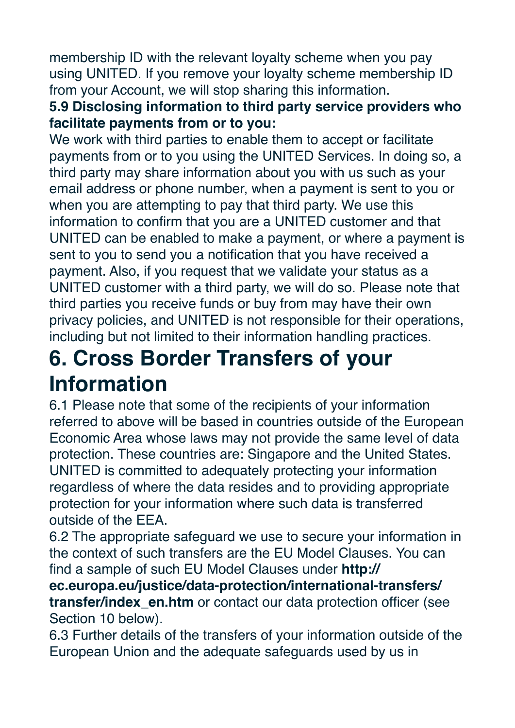membership ID with the relevant loyalty scheme when you pay using UNITED. If you remove your loyalty scheme membership ID from your Account, we will stop sharing this information.

### **5.9 Disclosing information to third party service providers who facilitate payments from or to you:**

We work with third parties to enable them to accept or facilitate payments from or to you using the UNITED Services. In doing so, a third party may share information about you with us such as your email address or phone number, when a payment is sent to you or when you are attempting to pay that third party. We use this information to confirm that you are a UNITED customer and that UNITED can be enabled to make a payment, or where a payment is sent to you to send you a notification that you have received a payment. Also, if you request that we validate your status as a UNITED customer with a third party, we will do so. Please note that third parties you receive funds or buy from may have their own privacy policies, and UNITED is not responsible for their operations, including but not limited to their information handling practices.

### **6. Cross Border Transfers of your Information**

6.1 Please note that some of the recipients of your information referred to above will be based in countries outside of the European Economic Area whose laws may not provide the same level of data protection. These countries are: Singapore and the United States. UNITED is committed to adequately protecting your information regardless of where the data resides and to providing appropriate protection for your information where such data is transferred outside of the EEA.

6.2 The appropriate safeguard we use to secure your information in the context of such transfers are the EU Model Clauses. You can find a sample of such EU Model Clauses under **[http://](http://ec.europa.eu/justice/data-protection/international-transfers/transfer/index_en.htm)**

**[ec.europa.eu/justice/data-protection/international-transfers/](http://ec.europa.eu/justice/data-protection/international-transfers/transfer/index_en.htm) [transfer/index\\_en.htm](http://ec.europa.eu/justice/data-protection/international-transfers/transfer/index_en.htm)** or contact our data protection officer (see Section 10 below).

6.3 Further details of the transfers of your information outside of the European Union and the adequate safeguards used by us in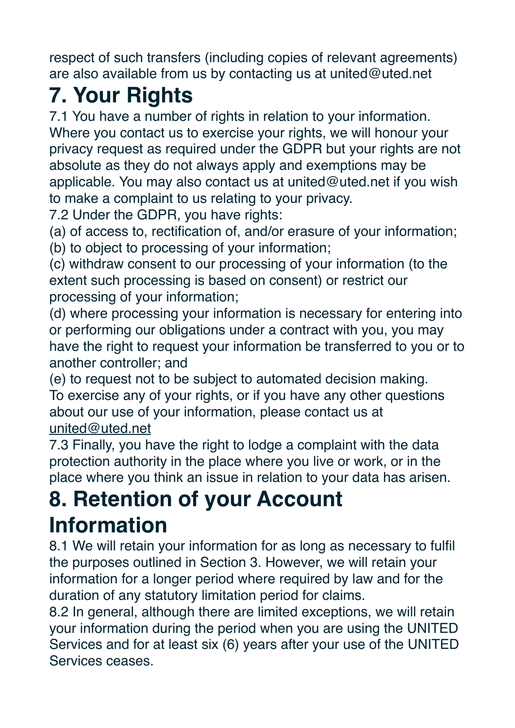respect of such transfers (including copies of relevant agreements) are also available from us by contacting us at united@uted.net

# **7. Your Rights**

7.1 You have a number of rights in relation to your information. Where you contact us to exercise your rights, we will honour your privacy request as required under the GDPR but your rights are not absolute as they do not always apply and exemptions may be applicable. You may also contact us at united@uted.net if you wish to make a complaint to us relating to your privacy.

7.2 Under the GDPR, you have rights:

(a) of access to, rectification of, and/or erasure of your information;

(b) to object to processing of your information;

(c) withdraw consent to our processing of your information (to the extent such processing is based on consent) or restrict our processing of your information;

(d) where processing your information is necessary for entering into or performing our obligations under a contract with you, you may have the right to request your information be transferred to you or to another controller; and

(e) to request not to be subject to automated decision making. To exercise any of your rights, or if you have any other questions about our use of your information, please contact us at [united@uted.net](mailto:united@uted.net)

7.3 Finally, you have the right to lodge a complaint with the data protection authority in the place where you live or work, or in the place where you think an issue in relation to your data has arisen.

### **8. Retention of your Account Information**

8.1 We will retain your information for as long as necessary to fulfil the purposes outlined in Section 3. However, we will retain your information for a longer period where required by law and for the duration of any statutory limitation period for claims.

8.2 In general, although there are limited exceptions, we will retain your information during the period when you are using the UNITED Services and for at least six (6) years after your use of the UNITED Services ceases.